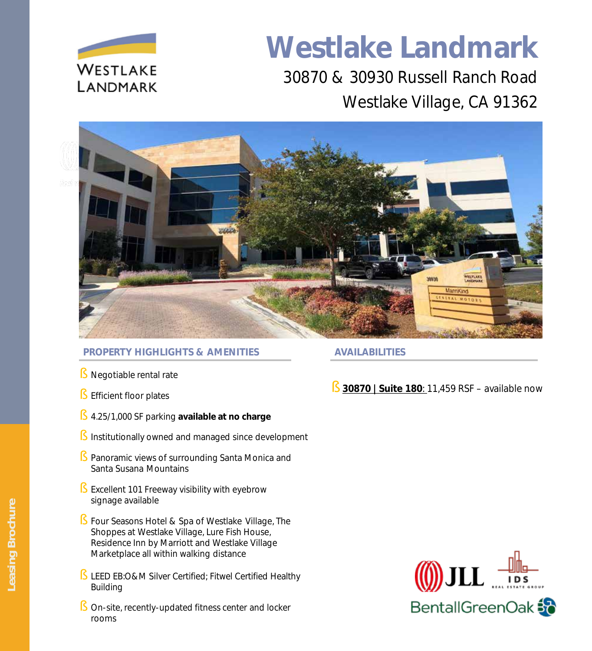

# **Westlake Landmark**

30870 & 30930 Russell Ranch Road Westlake Village, CA 91362





## **PROPERTY HIGHLIGHTS & AMENITIES AVAILABILITIES**

- Negotiable rental rate
- § Efficient floor plates
- § 4.25/1,000 SF parking **available at no charge**
- Institutionally owned and managed since development
- Panoramic views of surrounding Santa Monica and Santa Susana Mountains
- § Excellent 101 Freeway visibility with eyebrow signage available
- § Four Seasons Hotel & Spa of Westlake Village, The Shoppes at Westlake Village, Lure Fish House, Residence Inn by Marriott and Westlake Village Marketplace all within walking distance
- § LEED EB:O&M Silver Certified; Fitwel Certified Healthy Building
- § On-site, recently-updated fitness center and locker rooms

# § **30870 | Suite 180**: 11,459 RSF – available now

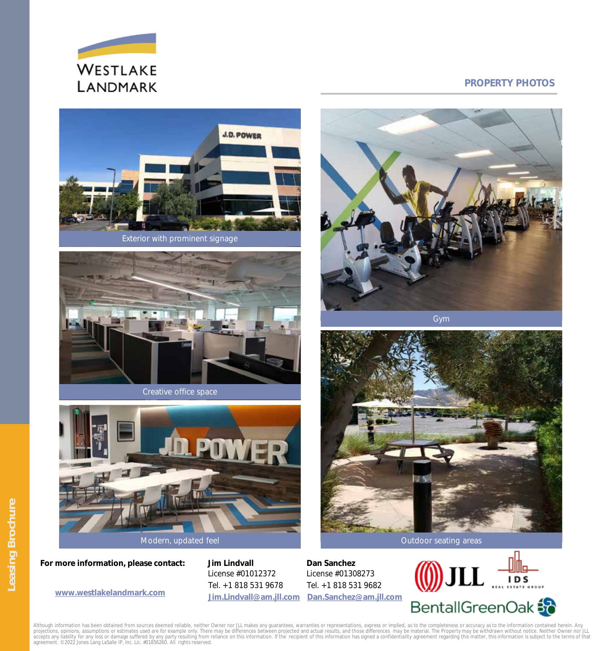

## **PROPERTY PHOTOS**



Exterior with prominent signage



Creative office space



Modern, updated feel

**For more information, please contact: Jim Lindvall** 

License #01012372 Tel. +1 818 531 9678 **[Jim.Lindvall@am.jll.com](mailto:Jim.Lindvall@am.jll.com)**

**Dan Sanchez**  License #01308273 Tel. +1 818 531 9682 www.westlakelandmark.com Jim.Lindvall@am.jll.com [Dan.Sanchez@am.jll.com](mailto:Dan.Sanchez@am.jll.com)



Although information has been obtained from sources deemed reliable, neither Owner nor JLL makes any guarantees, warranties or representations, express or implied, as to the completeness or accuracy as to the information c projections, opinions, assumptions or estimates used are for example only. There may be differences between projected and actual results, and those differences may be material. The Property may be withdrawn without notice



Gym

Leasing Brochure **Leasing Brochure**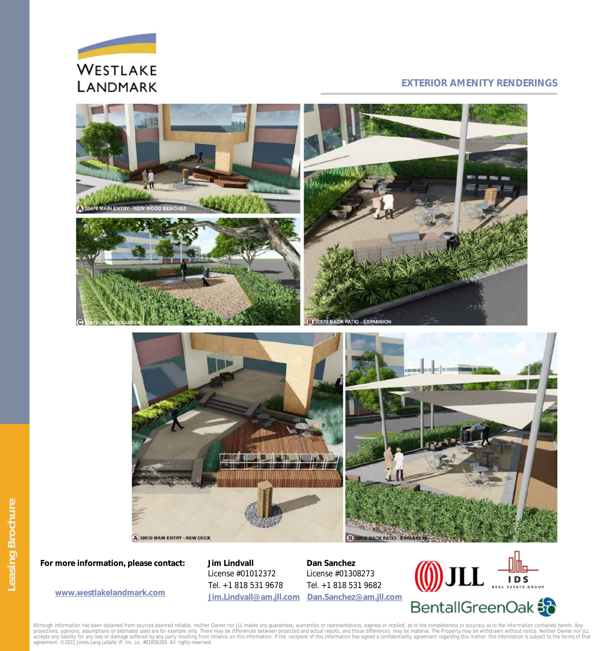

### **EXTERIOR AMENITY RENDERINGS**



**For more information, please contact: Jim Lindvall** 

License #01012372 Tel. +1 818 531 9678

**[Jim.Lindvall@am.jll.com](mailto:Jim.Lindvall@am.jll.com) [Dan.Sanchez@am.jll.com](mailto:Dan.Sanchez@am.jll.com) [www.westlakelandmark.com](http://www.westlakelandmark.com/)Dan Sanchez**  License #01308273 Tel. +1 818 531 9682



Although information has been obtained from sources deemed reliable, neither Owner nor JLL makes any guarantees, warranties or representations, express or implied, as to the completeness or accuracy as to the information c projections, opinions, assumptions or estimates used are for example only. There may be differences between projected and actual results, and those differences may be material. The Property may be withdrawn without notice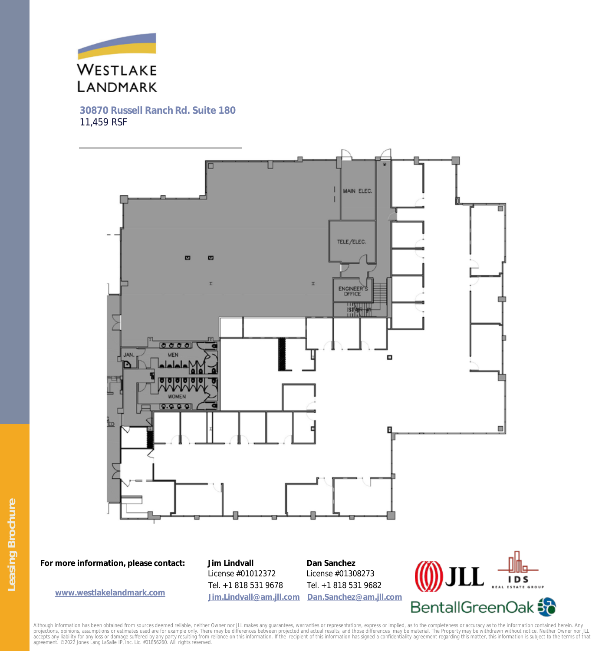

**30870 Russell Ranch Rd. Suite 180**  11,459 RSF



**For more information, please contact: Jim Lindvall** 

License #01012372 Tel. +1 818 531 9678 **[Jim.Lindvall@am.jll.com](mailto:Jim.Lindvall@am.jll.com)**

**Dan Sanchez**  License #01308273 Tel. +1 818 531 9682 www.westlakelandmark.com Jim.Lindvall@am.jll.com [Dan.Sanchez@am.jll.com](mailto:Dan.Sanchez@am.jll.com)



Although information has been obtained from sources deemed reliable, neither Owner nor JLL makes any guarantees, warranties or representations, express or implied, as to the completeness or accuracy as to the information c projections, opinions, assumptions or estimates used are for example only. There may be differences between projected and actual results, and those differences may be material. The Property may be withdrawn without notice